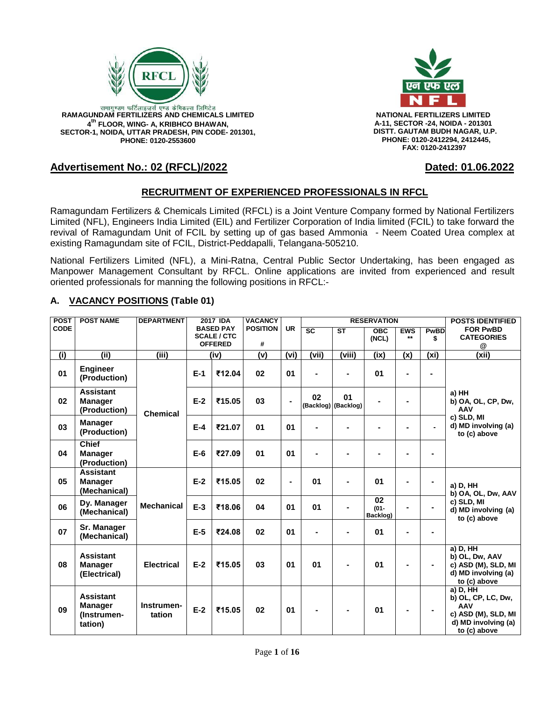

**4 th FLOOR, WING- A, KRIBHCO BHAWAN, SECTOR-1, NOIDA, UTTAR PRADESH, PIN CODE- 201301, PHONE: 0120-2553600**



RAMAGUNDAM FERTILIZERS AND CHEMICALS LIMITED **NATIONAL FERTILIZERS LIMITED A-11, SECTOR -24, NOIDA - 201301 DISTT. GAUTAM BUDH NAGAR, U.P. PHONE: 0120-2412294, 2412445, FAX: 0120-2412397**

# **Advertisement No.: 02 (RFCL)/2022 Dated: 01.06.2022**

# **RECRUITMENT OF EXPERIENCED PROFESSIONALS IN RFCL**

Ramagundam Fertilizers & Chemicals Limited (RFCL) is a Joint Venture Company formed by National Fertilizers Limited (NFL), Engineers India Limited (EIL) and Fertilizer Corporation of India limited (FCIL) to take forward the revival of Ramagundam Unit of FCIL by setting up of gas based Ammonia - Neem Coated Urea complex at existing Ramagundam site of FCIL, District-Peddapalli, Telangana-505210.

National Fertilizers Limited (NFL), a Mini-Ratna, Central Public Sector Undertaking, has been engaged as Manpower Management Consultant by RFCL. Online applications are invited from experienced and result oriented professionals for manning the following positions in RFCL:-

### **A. VACANCY POSITIONS (Table 01)**

| <b>POST</b> | <b>POST NAME</b>                                             | <b>DEPARTMENT</b>    |       | 2017 IDA                             | <b>VACANCY</b>  |                |                        | <b>RESERVATION</b>        |                           | <b>POSTS IDENTIFIED</b> |                   |                                                                                                     |
|-------------|--------------------------------------------------------------|----------------------|-------|--------------------------------------|-----------------|----------------|------------------------|---------------------------|---------------------------|-------------------------|-------------------|-----------------------------------------------------------------------------------------------------|
| <b>CODE</b> |                                                              |                      |       | <b>BASED PAY</b>                     | <b>POSITION</b> | <b>UR</b>      | $\overline{\text{sc}}$ | $\overline{\mathsf{ST}}$  | OBC                       | <b>EWS</b>              | PwBD              | <b>FOR PwBD</b>                                                                                     |
|             |                                                              |                      |       | <b>SCALE / CTC</b><br><b>OFFERED</b> | #               |                |                        |                           | (NCL)                     | $**$                    | \$                | <b>CATEGORIES</b>                                                                                   |
|             |                                                              |                      |       |                                      |                 |                |                        |                           |                           |                         |                   | @                                                                                                   |
| (i)         | (iii)                                                        | (iii)                |       | (iv)                                 | (v)             | (vi)           | (vii)                  | (viii)                    | (ix)                      | (x)                     | (x <sub>i</sub> ) | (xii)                                                                                               |
| 01          | <b>Engineer</b><br>(Production)                              |                      | $E-1$ | ₹12.04                               | 02              | 01             | ä,                     |                           | 01                        |                         |                   |                                                                                                     |
| 02          | <b>Assistant</b><br><b>Manager</b><br>(Production)           | <b>Chemical</b>      | $E-2$ | ₹15.05                               | 03              |                | 02                     | 01<br>(Backlog) (Backlog) |                           |                         |                   | a) HH<br>b) OA, OL, CP, Dw,<br><b>AAV</b>                                                           |
| 03          | <b>Manager</b><br>(Production)                               |                      | $E-4$ | ₹21.07                               | 01              | 01             |                        |                           |                           |                         |                   | c) SLD, MI<br>d) MD involving (a)<br>to (c) above                                                   |
| 04          | <b>Chief</b><br><b>Manager</b><br>(Production)               |                      | $E-6$ | ₹27.09                               | 01              | 01             |                        |                           |                           |                         |                   |                                                                                                     |
| 05          | <b>Assistant</b><br><b>Manager</b><br>(Mechanical)           |                      | $E-2$ | ₹15.05                               | 02              | $\blacksquare$ | 01                     |                           | 01                        |                         |                   | a) D, HH<br>b) OA, OL, Dw, AAV                                                                      |
| 06          | Dy. Manager<br>(Mechanical)                                  | <b>Mechanical</b>    | $E-3$ | ₹18.06                               | 04              | 01             | 01                     |                           | 02<br>$(01 -$<br>Backlog) |                         |                   | c) SLD, MI<br>d) MD involving (a)<br>to (c) above                                                   |
| 07          | Sr. Manager<br>(Mechanical)                                  |                      | $E-5$ | ₹24.08                               | 02              | 01             | $\blacksquare$         |                           | 01                        |                         |                   |                                                                                                     |
| 08          | <b>Assistant</b><br><b>Manager</b><br>(Electrical)           | <b>Electrical</b>    | $E-2$ | ₹15.05                               | 03              | 01             | 01                     | $\blacksquare$            | 01                        | $\blacksquare$          | ۰.                | a) D, HH<br>b) OL, Dw, AAV<br>c) ASD (M), SLD, MI<br>d) MD involving (a)<br>to (c) above            |
| 09          | <b>Assistant</b><br><b>Manager</b><br>(Instrumen-<br>tation) | Instrumen-<br>tation | $E-2$ | ₹15.05                               | 02              | 01             |                        |                           | 01                        | $\blacksquare$          | $\blacksquare$    | a) D, HH<br>b) OL, CP, LC, Dw,<br>AAV<br>c) ASD (M), SLD, MI<br>d) MD involving (a)<br>to (c) above |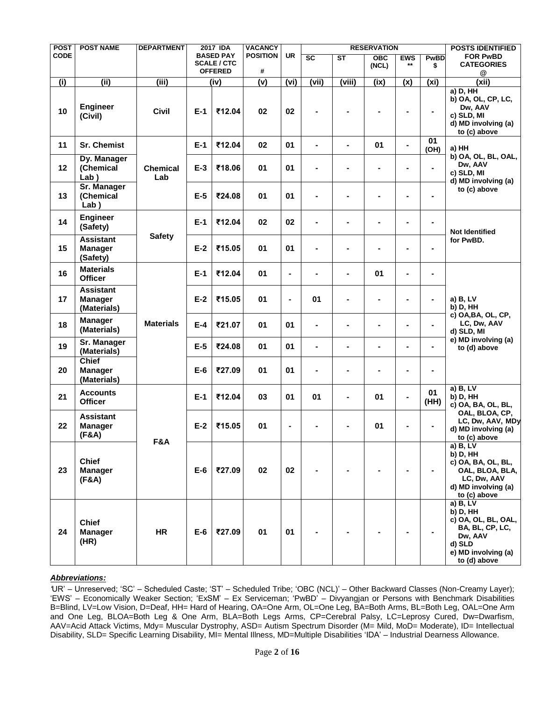| POST        | <b>POST NAME</b>                                  | <b>DEPARTMENT</b>      |       | <b>2017 IDA</b>                        | <b>VACANCY</b>  |                          |                           |                        | <b>RESERVATION</b> |                |                | <b>POSTS IDENTIFIED</b>                                                                                                    |
|-------------|---------------------------------------------------|------------------------|-------|----------------------------------------|-----------------|--------------------------|---------------------------|------------------------|--------------------|----------------|----------------|----------------------------------------------------------------------------------------------------------------------------|
| <b>CODE</b> |                                                   |                        |       | <b>BASED PAY</b><br><b>SCALE / CTC</b> | <b>POSITION</b> | UR                       | $\overline{\text{sc}}$    | $\overline{\text{ST}}$ | OBC                | <b>EWS</b>     | <b>PwBD</b>    | <b>FOR PwBD</b>                                                                                                            |
|             |                                                   |                        |       | <b>OFFERED</b>                         | #               |                          |                           |                        | (NCL)              | $***$          | \$             | <b>CATEGORIES</b><br>@                                                                                                     |
| (i)         | (iii)                                             | (iii)                  |       | (iv)                                   | (v)             | $\overline{(vi)}$        | $\overline{\text{(vii)}}$ | (viii)                 | (ix)               | (x)            | $(x_i)$        | (xii)                                                                                                                      |
| 10          | <b>Engineer</b><br>(Civil)                        | Civil                  | $E-1$ | ₹12.04                                 | 02              | 02                       |                           |                        |                    |                | $\blacksquare$ | $a)$ D, $HH$<br>b) OA, OL, CP, LC,<br>Dw, AAV<br>c) SLD, MI<br>d) MD involving (a)<br>to (c) above                         |
| 11          | <b>Sr. Chemist</b>                                |                        | $E-1$ | ₹12.04                                 | 02              | 01                       | $\blacksquare$            | $\blacksquare$         | 01                 | $\blacksquare$ | 01<br>(OH)     | a) HH                                                                                                                      |
| 12          | Dy. Manager<br>(Chemical<br>Lab()                 | <b>Chemical</b><br>Lab | $E-3$ | ₹18.06                                 | 01              | 01                       | $\blacksquare$            |                        | $\blacksquare$     |                |                | b) OA, OL, BL, OAL,<br>Dw, AAV<br>c) SLD, MI                                                                               |
| 13          | <b>Sr. Manager</b><br>(Chemical<br>Lab()          |                        | $E-5$ | ₹24.08                                 | 01              | 01                       | $\blacksquare$            |                        |                    |                |                | d) MD involving (a)<br>to (c) above                                                                                        |
| 14          | <b>Engineer</b><br>(Safety)                       |                        | $E-1$ | ₹12.04                                 | 02              | 02                       |                           |                        |                    |                |                | <b>Not Identified</b>                                                                                                      |
| 15          | <b>Assistant</b><br><b>Manager</b><br>(Safety)    | <b>Safety</b>          | $E-2$ | ₹15.05                                 | 01              | 01                       | $\blacksquare$            |                        |                    |                |                | for PwBD.                                                                                                                  |
| 16          | <b>Materials</b><br><b>Officer</b>                |                        | $E-1$ | ₹12.04                                 | 01              | $\overline{\phantom{a}}$ | $\blacksquare$            | $\blacksquare$         | 01                 | $\blacksquare$ | Ξ.             |                                                                                                                            |
| 17          | <b>Assistant</b><br><b>Manager</b><br>(Materials) |                        | $E-2$ | ₹15.05                                 | 01              | $\overline{\phantom{a}}$ | 01                        | $\blacksquare$         |                    |                | $\blacksquare$ | a) B, LV<br>b) D, HH                                                                                                       |
| 18          | <b>Manager</b><br>(Materials)                     | <b>Materials</b>       | $E-4$ | ₹21.07                                 | 01              | 01                       | $\blacksquare$            | -                      |                    |                |                | c) OA, BA, OL, CP,<br>LC, Dw, AAV<br>d) SLD, MI                                                                            |
| 19          | Sr. Manager<br>(Materials)                        |                        | $E-5$ | ₹24.08                                 | 01              | 01                       | $\blacksquare$            | $\blacksquare$         | $\blacksquare$     | $\blacksquare$ |                | e) MD involving (a)<br>to (d) above                                                                                        |
| 20          | <b>Chief</b><br><b>Manager</b><br>(Materials)     |                        | $E-6$ | ₹27.09                                 | 01              | 01                       | $\blacksquare$            |                        |                    |                | $\blacksquare$ |                                                                                                                            |
| 21          | <b>Accounts</b><br><b>Officer</b>                 |                        | $E-1$ | ₹12.04                                 | 03              | 01                       | 01                        | $\blacksquare$         | 01                 | $\blacksquare$ | 01<br>(HH)     | $a)$ B, LV<br>b) D, HH<br>c) OA, BA, OL, BL,                                                                               |
| 22          | <b>Assistant</b><br><b>Manager</b><br>(F&A)       | F&A                    | $E-2$ | ₹15.05                                 | 01              | ÷                        |                           |                        | 01                 |                |                | OAL, BLOA, CP,<br>LC, Dw, AAV, MDy<br>d) MD involving (a)<br>to (c) above                                                  |
| 23          | <b>Chief</b><br><b>Manager</b><br>(F&A)           |                        | $E-6$ | ₹27.09                                 | 02              | 02                       |                           |                        |                    |                |                | a) B, LV<br>b) D, HH<br>c) OA, BA, OL, BL,<br>OAL, BLOA, BLA,<br>LC, Dw, AAV<br>d) MD involving (a)<br>to (c) above        |
| 24          | <b>Chief</b><br><b>Manager</b><br>(HR)            | <b>HR</b>              | $E-6$ | ₹27.09                                 | 01              | 01                       |                           |                        |                    |                |                | a) B, LV<br>b) D, HH<br>c) OA, OL, BL, OAL,<br>BA, BL, CP, LC,<br>Dw, AAV<br>d) SLD<br>e) MD involving (a)<br>to (d) above |

#### *Abbreviations:*

*'*UR" – Unreserved; "SC" – Scheduled Caste; "ST" – Scheduled Tribe; "OBC (NCL)" – Other Backward Classes (Non-Creamy Layer); "EWS" – Economically Weaker Section; "ExSM" – Ex Serviceman; "PwBD" – Divyangjan or Persons with Benchmark Disabilities B=Blind, LV=Low Vision, D=Deaf, HH= Hard of Hearing, OA=One Arm, OL=One Leg, BA=Both Arms, BL=Both Leg, OAL=One Arm and One Leg, BLOA=Both Leg & One Arm, BLA=Both Legs Arms, CP=Cerebral Palsy, LC=Leprosy Cured, Dw=Dwarfism, AAV=Acid Attack Victims, Mdy= Muscular Dystrophy, ASD= Autism Spectrum Disorder (M= Mild, MoD= Moderate), ID= Intellectual Disability, SLD= Specific Learning Disability, MI= Mental Illness, MD=Multiple Disabilities "IDA" – Industrial Dearness Allowance.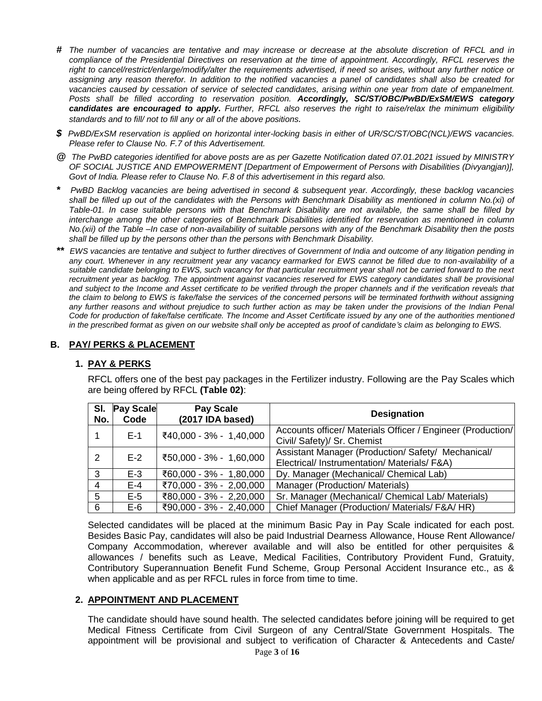- *# The number of vacancies are tentative and may increase or decrease at the absolute discretion of RFCL and in compliance of the Presidential Directives on reservation at the time of appointment. Accordingly, RFCL reserves the right to cancel/restrict/enlarge/modify/alter the requirements advertised, if need so arises, without any further notice or assigning any reason therefor. In addition to the notified vacancies a panel of candidates shall also be created for*  vacancies caused by cessation of service of selected candidates, arising within one year from date of empanelment. *Posts shall be filled according to reservation position. Accordingly, SC/ST/OBC/PwBD/ExSM/EWS category candidates are encouraged to apply. Further, RFCL also reserves the right to raise/relax the minimum eligibility standards and to fill/ not to fill any or all of the above positions.*
- *\$ PwBD/ExSM reservation is applied on horizontal inter-locking basis in either of UR/SC/ST/OBC(NCL)/EWS vacancies. Please refer to Clause No. F.7 of this Advertisement.*
- *@ The PwBD categories identified for above posts are as per Gazette Notification dated 07.01.2021 issued by MINISTRY OF SOCIAL JUSTICE AND EMPOWERMENT [Department of Empowerment of Persons with Disabilities (Divyangjan)], Govt of India. Please refer to Clause No. F.8 of this advertisement in this regard also.*
- *\* PwBD Backlog vacancies are being advertised in second & subsequent year. Accordingly, these backlog vacancies shall be filled up out of the candidates with the Persons with Benchmark Disability as mentioned in column No.(xi) of Table-01. In case suitable persons with that Benchmark Disability are not available, the same shall be filled by interchange among the other categories of Benchmark Disabilities identified for reservation as mentioned in column No.(xii) of the Table –In case of non-availability of suitable persons with any of the Benchmark Disability then the posts shall be filled up by the persons other than the persons with Benchmark Disability.*
- *\*\* EWS vacancies are tentative and subject to further directives of Government of India and outcome of any litigation pending in any court. Whenever in any recruitment year any vacancy earmarked for EWS cannot be filled due to non-availability of a suitable candidate belonging to EWS, such vacancy for that particular recruitment year shall not be carried forward to the next recruitment year as backlog. The appointment against vacancies reserved for EWS category candidates shall be provisional and subject to the Income and Asset certificate to be verified through the proper channels and if the verification reveals that the claim to belong to EWS is fake/false the services of the concerned persons will be terminated forthwith without assigning any further reasons and without prejudice to such further action as may be taken under the provisions of the Indian Penal Code for production of fake/false certificate. The Income and Asset Certificate issued by any one of the authorities mentioned in the prescribed format as given on our website shall only be accepted as proof of candidate's claim as belonging to EWS.*

#### **B. PAY/ PERKS & PLACEMENT**

#### **1. PAY & PERKS**

RFCL offers one of the best pay packages in the Fertilizer industry. Following are the Pay Scales which are being offered by RFCL **(Table 02)**:

| SI.<br>No.   | <b>Pay Scale</b><br>Code | <b>Pay Scale</b><br>(2017 IDA based) | <b>Designation</b>                                          |
|--------------|--------------------------|--------------------------------------|-------------------------------------------------------------|
|              | $E-1$                    | ₹40,000 - 3% - 1,40,000              | Accounts officer/ Materials Officer / Engineer (Production/ |
|              |                          |                                      | Civil/ Safety)/ Sr. Chemist                                 |
| 2            | $E-2$                    | ₹50,000 - 3% - 1,60,000              | Assistant Manager (Production/Safety/Mechanical/            |
|              |                          |                                      | Electrical/ Instrumentation/ Materials/ F&A)                |
| $\mathbf{3}$ | $E-3$                    | ₹60,000 - 3% - 1,80,000              | Dy. Manager (Mechanical/ Chemical Lab)                      |
| 4            | $E-4$                    | ₹70,000 - 3% - 2,00,000              | Manager (Production/ Materials)                             |
| 5            | $E-5$                    | ₹80,000 - 3% - 2,20,000              | Sr. Manager (Mechanical/ Chemical Lab/ Materials)           |
| 6            | $E-6$                    | ₹90,000 - 3% - 2,40,000              | Chief Manager (Production/ Materials/ F&A/ HR)              |

Selected candidates will be placed at the minimum Basic Pay in Pay Scale indicated for each post. Besides Basic Pay, candidates will also be paid Industrial Dearness Allowance, House Rent Allowance/ Company Accommodation, wherever available and will also be entitled for other perquisites & allowances / benefits such as Leave, Medical Facilities, Contributory Provident Fund, Gratuity, Contributory Superannuation Benefit Fund Scheme, Group Personal Accident Insurance etc., as & when applicable and as per RFCL rules in force from time to time.

#### **2. APPOINTMENT AND PLACEMENT**

The candidate should have sound health. The selected candidates before joining will be required to get Medical Fitness Certificate from Civil Surgeon of any Central/State Government Hospitals. The appointment will be provisional and subject to verification of Character & Antecedents and Caste/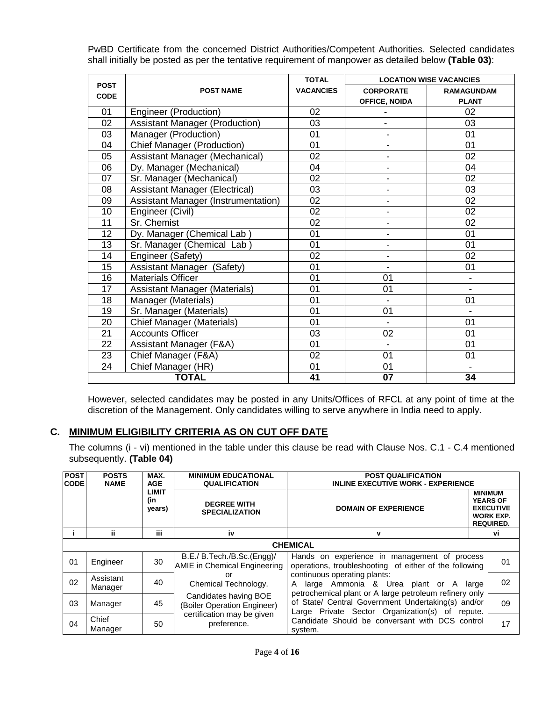PwBD Certificate from the concerned District Authorities/Competent Authorities. Selected candidates shall initially be posted as per the tentative requirement of manpower as detailed below **(Table 03)**:

| <b>POST</b> |                                            | <b>TOTAL</b>     |                              | <b>LOCATION WISE VACANCIES</b> |
|-------------|--------------------------------------------|------------------|------------------------------|--------------------------------|
| <b>CODE</b> | <b>POST NAME</b>                           | <b>VACANCIES</b> | <b>CORPORATE</b>             | <b>RAMAGUNDAM</b>              |
|             |                                            |                  | <b>OFFICE, NOIDA</b>         | <b>PLANT</b>                   |
| 01          | Engineer (Production)                      | 02               |                              | 02                             |
| 02          | <b>Assistant Manager (Production)</b>      | 03               | $\blacksquare$               | 03                             |
| 03          | Manager (Production)                       | 01               | $\overline{\phantom{0}}$     | 01                             |
| 04          | <b>Chief Manager (Production)</b>          | 01               | -                            | 01                             |
| 05          | Assistant Manager (Mechanical)             | 02               | L,                           | 02                             |
| 06          | Dy. Manager (Mechanical)                   | 04               | $\qquad \qquad \blacksquare$ | 04                             |
| 07          | Sr. Manager (Mechanical)                   | 02               | $\overline{a}$               | 02                             |
| 08          | <b>Assistant Manager (Electrical)</b>      | 03               | $\overline{a}$               | 03                             |
| 09          | <b>Assistant Manager (Instrumentation)</b> | 02               | $\overline{a}$               | 02                             |
| 10          | Engineer (Civil)                           | 02               | -                            | 02                             |
| 11          | Sr. Chemist                                | 02               | $\overline{a}$               | 02                             |
| 12          | Dy. Manager (Chemical Lab)                 | 01               | $\qquad \qquad \blacksquare$ | 01                             |
| 13          | Sr. Manager (Chemical Lab)                 | 01               | -                            | 01                             |
| 14          | Engineer (Safety)                          | 02               | $\overline{a}$               | 02                             |
| 15          | <b>Assistant Manager (Safety)</b>          | 01               | $\qquad \qquad \blacksquare$ | 01                             |
| 16          | <b>Materials Officer</b>                   | 01               | 01                           |                                |
| 17          | Assistant Manager (Materials)              | 01               | 01                           |                                |
| 18          | Manager (Materials)                        | 01               | $\blacksquare$               | 01                             |
| 19          | Sr. Manager (Materials)                    | 01               | 01                           |                                |
| 20          | Chief Manager (Materials)                  | 01               | $\blacksquare$               | 01                             |
| 21          | <b>Accounts Officer</b>                    | 03               | 02                           | 01                             |
| 22          | Assistant Manager (F&A)                    | 01               | $\blacksquare$               | 01                             |
| 23          | Chief Manager (F&A)                        | 02               | 01                           | 01                             |
| 24          | Chief Manager (HR)                         | 01               | 01                           |                                |
|             | <b>TOTAL</b>                               | 41               | 07                           | 34                             |

However, selected candidates may be posted in any Units/Offices of RFCL at any point of time at the discretion of the Management. Only candidates willing to serve anywhere in India need to apply.

# **C. MINIMUM ELIGIBILITY CRITERIA AS ON CUT OFF DATE**

The columns (i - vi) mentioned in the table under this clause be read with Clause Nos. C.1 - C.4 mentioned subsequently. **(Table 04)**

| <b>POST</b> | <b>POSTS</b>                                                        | MAX.                                                                  | <b>MINIMUM EDUCATIONAL</b>                                 | <b>POST QUALIFICATION</b>                                                                                                                                          |                                                                                               |  |  |  |  |
|-------------|---------------------------------------------------------------------|-----------------------------------------------------------------------|------------------------------------------------------------|--------------------------------------------------------------------------------------------------------------------------------------------------------------------|-----------------------------------------------------------------------------------------------|--|--|--|--|
| <b>CODE</b> | <b>NAME</b>                                                         | <b>AGE</b>                                                            | <b>QUALIFICATION</b>                                       | <b>INLINE EXECUTIVE WORK - EXPERIENCE</b>                                                                                                                          |                                                                                               |  |  |  |  |
|             |                                                                     | LIMIT<br>(in<br><b>DEGREE WITH</b><br>years)<br><b>SPECIALIZATION</b> |                                                            | <b>DOMAIN OF EXPERIENCE</b>                                                                                                                                        | <b>MINIMUM</b><br><b>YEARS OF</b><br><b>EXECUTIVE</b><br><b>WORK EXP.</b><br><b>REQUIRED.</b> |  |  |  |  |
|             | ii                                                                  | iii.                                                                  | iv                                                         | v                                                                                                                                                                  | vi                                                                                            |  |  |  |  |
|             |                                                                     |                                                                       |                                                            | <b>CHEMICAL</b>                                                                                                                                                    |                                                                                               |  |  |  |  |
| 01          | Engineer                                                            | 30                                                                    | B.E./ B.Tech./B.Sc.(Engg)/<br>AMIE in Chemical Engineering | Hands on experience in management of process<br>operations, troubleshooting of either of the following                                                             |                                                                                               |  |  |  |  |
| 02          | Assistant<br>Manager                                                | 40                                                                    | or<br>Chemical Technology.                                 | continuous operating plants:<br>large Ammonia & Urea plant or A large<br>A                                                                                         |                                                                                               |  |  |  |  |
| 03          | Manager                                                             | 45                                                                    | Candidates having BOE<br>(Boiler Operation Engineer)       | petrochemical plant or A large petroleum refinery only<br>of State/ Central Government Undertaking(s) and/or<br>Large Private Sector Organization(s) of<br>repute. |                                                                                               |  |  |  |  |
| 04          | certification may be given<br>Chief<br>preference.<br>50<br>Manager |                                                                       |                                                            | Candidate Should be conversant with DCS control<br>system.                                                                                                         |                                                                                               |  |  |  |  |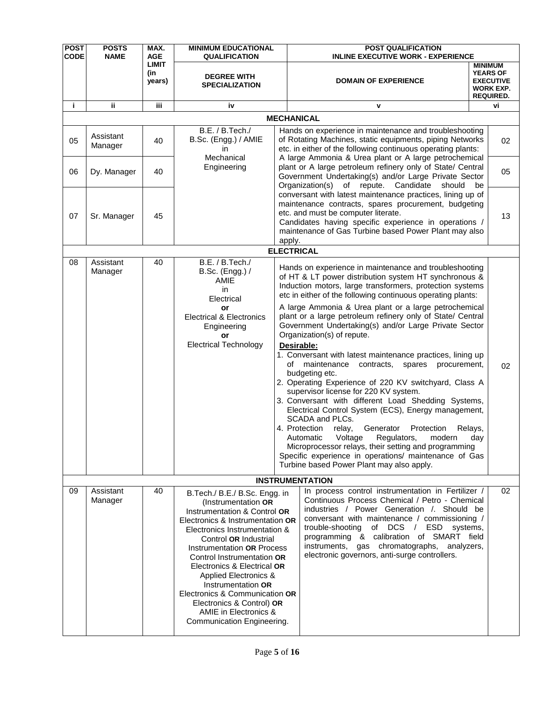| <b>POST</b> | <b>POSTS</b><br><b>NAME</b> | MAX.<br><b>AGE</b>            | <b>MINIMUM EDUCATIONAL</b>                                                                                                                                                                                                                                                                                                                                                                                                                         |                                                                                                                                                                                                                                                                                                                                                                                                                                                                                                                                                                                                                                                                                                                                                                                                                                                                                                                                                                                                                                                                                                     | <b>POST QUALIFICATION</b>                                                                                                                                                                                                                                                                                                                                                                   |                                                                                               |    |
|-------------|-----------------------------|-------------------------------|----------------------------------------------------------------------------------------------------------------------------------------------------------------------------------------------------------------------------------------------------------------------------------------------------------------------------------------------------------------------------------------------------------------------------------------------------|-----------------------------------------------------------------------------------------------------------------------------------------------------------------------------------------------------------------------------------------------------------------------------------------------------------------------------------------------------------------------------------------------------------------------------------------------------------------------------------------------------------------------------------------------------------------------------------------------------------------------------------------------------------------------------------------------------------------------------------------------------------------------------------------------------------------------------------------------------------------------------------------------------------------------------------------------------------------------------------------------------------------------------------------------------------------------------------------------------|---------------------------------------------------------------------------------------------------------------------------------------------------------------------------------------------------------------------------------------------------------------------------------------------------------------------------------------------------------------------------------------------|-----------------------------------------------------------------------------------------------|----|
| <b>CODE</b> |                             | <b>LIMIT</b><br>(in<br>years) | <b>QUALIFICATION</b><br><b>DEGREE WITH</b><br><b>SPECIALIZATION</b>                                                                                                                                                                                                                                                                                                                                                                                |                                                                                                                                                                                                                                                                                                                                                                                                                                                                                                                                                                                                                                                                                                                                                                                                                                                                                                                                                                                                                                                                                                     | <b>INLINE EXECUTIVE WORK - EXPERIENCE</b><br><b>DOMAIN OF EXPERIENCE</b>                                                                                                                                                                                                                                                                                                                    | <b>MINIMUM</b><br><b>YEARS OF</b><br><b>EXECUTIVE</b><br><b>WORK EXP.</b><br><b>REQUIRED.</b> |    |
| j.          | ii.                         | iii.                          | iv                                                                                                                                                                                                                                                                                                                                                                                                                                                 |                                                                                                                                                                                                                                                                                                                                                                                                                                                                                                                                                                                                                                                                                                                                                                                                                                                                                                                                                                                                                                                                                                     | v                                                                                                                                                                                                                                                                                                                                                                                           | vi                                                                                            |    |
|             |                             |                               |                                                                                                                                                                                                                                                                                                                                                                                                                                                    |                                                                                                                                                                                                                                                                                                                                                                                                                                                                                                                                                                                                                                                                                                                                                                                                                                                                                                                                                                                                                                                                                                     | <b>MECHANICAL</b>                                                                                                                                                                                                                                                                                                                                                                           |                                                                                               |    |
| 05          | Assistant<br>Manager        | 40                            | B.E. / B.Tech./<br>B.Sc. (Engg.) / AMIE<br>in<br>Mechanical                                                                                                                                                                                                                                                                                                                                                                                        |                                                                                                                                                                                                                                                                                                                                                                                                                                                                                                                                                                                                                                                                                                                                                                                                                                                                                                                                                                                                                                                                                                     | Hands on experience in maintenance and troubleshooting<br>of Rotating Machines, static equipments, piping Networks<br>etc. in either of the following continuous operating plants:<br>A large Ammonia & Urea plant or A large petrochemical                                                                                                                                                 |                                                                                               | 02 |
| 06          | Dy. Manager                 | 40                            | Engineering                                                                                                                                                                                                                                                                                                                                                                                                                                        |                                                                                                                                                                                                                                                                                                                                                                                                                                                                                                                                                                                                                                                                                                                                                                                                                                                                                                                                                                                                                                                                                                     | plant or A large petroleum refinery only of State/ Central<br>Government Undertaking(s) and/or Large Private Sector<br>Organization(s) of repute. Candidate<br>should                                                                                                                                                                                                                       | be                                                                                            | 05 |
| 07          | Sr. Manager                 | 45                            |                                                                                                                                                                                                                                                                                                                                                                                                                                                    | apply.                                                                                                                                                                                                                                                                                                                                                                                                                                                                                                                                                                                                                                                                                                                                                                                                                                                                                                                                                                                                                                                                                              | conversant with latest maintenance practices, lining up of<br>maintenance contracts, spares procurement, budgeting<br>etc. and must be computer literate.<br>Candidates having specific experience in operations /<br>maintenance of Gas Turbine based Power Plant may also                                                                                                                 |                                                                                               | 13 |
|             |                             |                               |                                                                                                                                                                                                                                                                                                                                                                                                                                                    |                                                                                                                                                                                                                                                                                                                                                                                                                                                                                                                                                                                                                                                                                                                                                                                                                                                                                                                                                                                                                                                                                                     |                                                                                                                                                                                                                                                                                                                                                                                             |                                                                                               |    |
| 08          | Assistant<br>Manager        | 40                            | B.E. / B.Tech. /<br>B.Sc. (Engg.) /<br>AMIE<br>in.<br>Electrical<br>or<br><b>Electrical &amp; Electronics</b><br>Engineering<br>or<br><b>Electrical Technology</b>                                                                                                                                                                                                                                                                                 | <b>ELECTRICAL</b><br>Hands on experience in maintenance and troubleshooting<br>of HT & LT power distribution system HT synchronous &<br>Induction motors, large transformers, protection systems<br>etc in either of the following continuous operating plants:<br>A large Ammonia & Urea plant or a large petrochemical<br>plant or a large petroleum refinery only of State/ Central<br>Government Undertaking(s) and/or Large Private Sector<br>Organization(s) of repute.<br>Desirable:<br>1. Conversant with latest maintenance practices, lining up<br>of<br>maintenance contracts, spares procurement,<br>budgeting etc.<br>2. Operating Experience of 220 KV switchyard, Class A<br>supervisor license for 220 KV system.<br>3. Conversant with different Load Shedding Systems,<br>Electrical Control System (ECS), Energy management,<br>SCADA and PLCs.<br>4. Protection<br>relay,<br>Generator Protection<br>Relays,<br>Automatic Voltage Regulators,<br>modern<br>day<br>Microprocessor relays, their setting and programming<br>Specific experience in operations/ maintenance of Gas |                                                                                                                                                                                                                                                                                                                                                                                             |                                                                                               |    |
|             |                             |                               |                                                                                                                                                                                                                                                                                                                                                                                                                                                    |                                                                                                                                                                                                                                                                                                                                                                                                                                                                                                                                                                                                                                                                                                                                                                                                                                                                                                                                                                                                                                                                                                     | <b>INSTRUMENTATION</b>                                                                                                                                                                                                                                                                                                                                                                      |                                                                                               |    |
| 09          | Assistant<br>Manager        | 40                            | B.Tech./ B.E./ B.Sc. Engg. in<br>(Instrumentation OR<br>Instrumentation & Control OR<br>Electronics & Instrumentation OR<br>Electronics Instrumentation &<br>Control OR Industrial<br>Instrumentation OR Process<br>Control Instrumentation OR<br>Electronics & Electrical OR<br>Applied Electronics &<br>Instrumentation OR<br>Electronics & Communication OR<br>Electronics & Control) OR<br>AMIE in Electronics &<br>Communication Engineering. |                                                                                                                                                                                                                                                                                                                                                                                                                                                                                                                                                                                                                                                                                                                                                                                                                                                                                                                                                                                                                                                                                                     | In process control instrumentation in Fertilizer /<br>Continuous Process Chemical / Petro - Chemical<br>industries / Power Generation / Should be<br>conversant with maintenance / commissioning /<br>of DCS / ESD systems,<br>trouble-shooting<br>programming & calibration of SMART field<br>instruments, gas chromatographs, analyzers,<br>electronic governors, anti-surge controllers. |                                                                                               | 02 |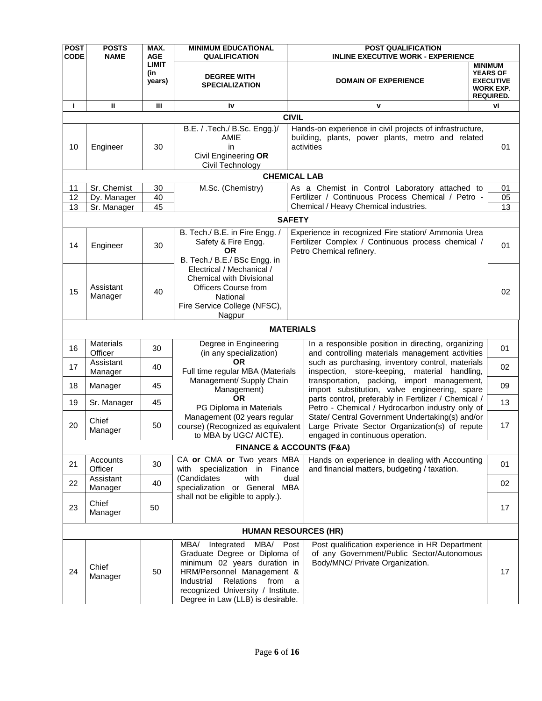| <b>POST</b><br><b>CODE</b> | <b>POSTS</b><br><b>NAME</b> | MAX.<br><b>AGE</b>     | <b>MINIMUM EDUCATIONAL</b><br><b>QUALIFICATION</b>                                                                                                                                                                                           | <b>POST QUALIFICATION</b><br><b>INLINE EXECUTIVE WORK - EXPERIENCE</b>                                                                |                                                                                               |
|----------------------------|-----------------------------|------------------------|----------------------------------------------------------------------------------------------------------------------------------------------------------------------------------------------------------------------------------------------|---------------------------------------------------------------------------------------------------------------------------------------|-----------------------------------------------------------------------------------------------|
|                            |                             | LIMIT<br>(in<br>years) | <b>DEGREE WITH</b><br><b>SPECIALIZATION</b>                                                                                                                                                                                                  | <b>DOMAIN OF EXPERIENCE</b>                                                                                                           | <b>MINIMUM</b><br><b>YEARS OF</b><br><b>EXECUTIVE</b><br><b>WORK EXP.</b><br><b>REQUIRED.</b> |
| i.                         | jj.                         | iii.                   | iv                                                                                                                                                                                                                                           | v                                                                                                                                     | vi                                                                                            |
|                            |                             |                        |                                                                                                                                                                                                                                              | <b>CIVIL</b>                                                                                                                          |                                                                                               |
| 10                         | Engineer                    | 30                     | B.E. / .Tech./ B.Sc. Engg.)/<br>AMIE<br>in<br>Civil Engineering OR<br>Civil Technology                                                                                                                                                       | Hands-on experience in civil projects of infrastructure,<br>building, plants, power plants, metro and related<br>activities           | 01                                                                                            |
|                            |                             |                        |                                                                                                                                                                                                                                              | <b>CHEMICAL LAB</b>                                                                                                                   |                                                                                               |
| 11                         | Sr. Chemist                 | 30                     | M.Sc. (Chemistry)                                                                                                                                                                                                                            | As a Chemist in Control Laboratory attached to                                                                                        | 01                                                                                            |
| 12                         | Dy. Manager                 | 40                     |                                                                                                                                                                                                                                              | Fertilizer / Continuous Process Chemical / Petro -                                                                                    | 05                                                                                            |
| 13                         | Sr. Manager                 | 45                     |                                                                                                                                                                                                                                              | Chemical / Heavy Chemical industries.                                                                                                 | $\overline{13}$                                                                               |
|                            |                             |                        |                                                                                                                                                                                                                                              | <b>SAFETY</b>                                                                                                                         |                                                                                               |
| 14                         | Engineer                    | 30                     | B. Tech./ B.E. in Fire Engg. /<br>Safety & Fire Engg.<br>ΟR<br>B. Tech./ B.E./ BSc Engg. in                                                                                                                                                  | Experience in recognized Fire station/ Ammonia Urea<br>Fertilizer Complex / Continuous process chemical /<br>Petro Chemical refinery. | 01                                                                                            |
| 15                         | Assistant<br>Manager        | 40                     | Electrical / Mechanical /<br><b>Chemical with Divisional</b><br><b>Officers Course from</b><br>National<br>Fire Service College (NFSC),<br>Nagpur                                                                                            |                                                                                                                                       | 02                                                                                            |
|                            |                             |                        |                                                                                                                                                                                                                                              | <b>MATERIALS</b>                                                                                                                      |                                                                                               |
| 16                         | <b>Materials</b><br>Officer | 30                     | Degree in Engineering<br>(in any specialization)                                                                                                                                                                                             | In a responsible position in directing, organizing<br>and controlling materials management activities                                 | 01                                                                                            |
| 17                         | Assistant<br>Manager        | 40                     | <b>OR</b><br>Full time regular MBA (Materials                                                                                                                                                                                                | such as purchasing, inventory control, materials<br>inspection, store-keeping, material handling,                                     | 02                                                                                            |
| 18                         | Manager                     | 45                     | Management/ Supply Chain<br>Management)                                                                                                                                                                                                      | transportation, packing, import management,<br>import substitution, valve engineering, spare                                          | 09                                                                                            |
| 19                         | Sr. Manager                 | 45                     | OR.<br>PG Diploma in Materials                                                                                                                                                                                                               | parts control, preferably in Fertilizer / Chemical /<br>Petro - Chemical / Hydrocarbon industry only of                               | 13                                                                                            |
| 20                         | Chief<br>Manager            | 50                     | Management (02 years regular<br>course) (Recognized as equivalent<br>to MBA by UGC/ AICTE).                                                                                                                                                  | State/ Central Government Undertaking(s) and/or<br>Large Private Sector Organization(s) of repute<br>engaged in continuous operation. | 17                                                                                            |
|                            |                             |                        |                                                                                                                                                                                                                                              | <b>FINANCE &amp; ACCOUNTS (F&amp;A)</b>                                                                                               |                                                                                               |
| 21                         | Accounts<br>Officer         | 30                     | CA or CMA or Two years MBA<br>with specialization in Finance                                                                                                                                                                                 | Hands on experience in dealing with Accounting<br>and financial matters, budgeting / taxation.                                        | 01                                                                                            |
| 22                         | Assistant<br>Manager        | 40                     | (Candidates<br>with<br>specialization or General MBA                                                                                                                                                                                         | dual                                                                                                                                  | 02                                                                                            |
| 23                         | Chief<br>Manager            | 50                     | shall not be eligible to apply.).                                                                                                                                                                                                            |                                                                                                                                       | 17                                                                                            |
|                            |                             |                        |                                                                                                                                                                                                                                              | <b>HUMAN RESOURCES (HR)</b>                                                                                                           |                                                                                               |
| 24                         | Chief<br>Manager            | 50                     | Integrated<br>MBA/ Post<br>MBA/<br>Graduate Degree or Diploma of<br>minimum 02 years duration in<br>HRM/Personnel Management &<br>Relations<br>Industrial<br>from<br>recognized University / Institute.<br>Degree in Law (LLB) is desirable. | Post qualification experience in HR Department<br>of any Government/Public Sector/Autonomous<br>Body/MNC/ Private Organization.<br>a  | 17                                                                                            |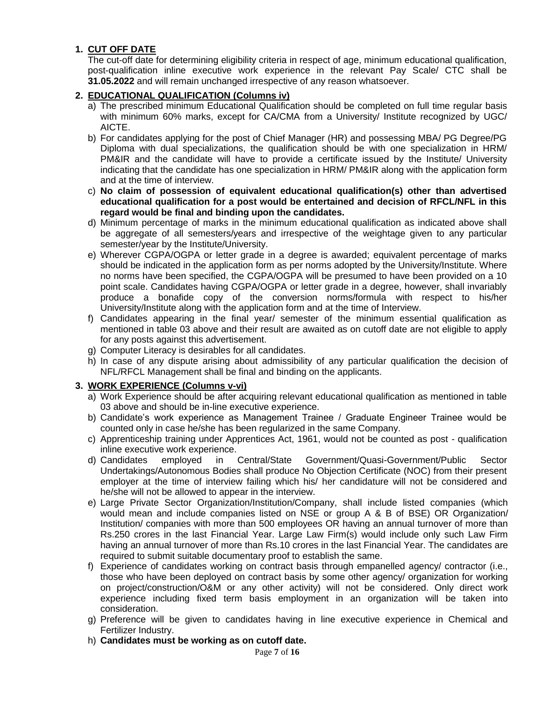## **1. CUT OFF DATE**

The cut-off date for determining eligibility criteria in respect of age, minimum educational qualification, post-qualification inline executive work experience in the relevant Pay Scale/ CTC shall be **31.05.2022** and will remain unchanged irrespective of any reason whatsoever.

### **2. EDUCATIONAL QUALIFICATION (Columns iv)**

- a) The prescribed minimum Educational Qualification should be completed on full time regular basis with minimum 60% marks, except for CA/CMA from a University/ Institute recognized by UGC/ AICTE.
- b) For candidates applying for the post of Chief Manager (HR) and possessing MBA/ PG Degree/PG Diploma with dual specializations, the qualification should be with one specialization in HRM/ PM&IR and the candidate will have to provide a certificate issued by the Institute/ University indicating that the candidate has one specialization in HRM/ PM&IR along with the application form and at the time of interview.
- c) **No claim of possession of equivalent educational qualification(s) other than advertised educational qualification for a post would be entertained and decision of RFCL/NFL in this regard would be final and binding upon the candidates.**
- d) Minimum percentage of marks in the minimum educational qualification as indicated above shall be aggregate of all semesters/years and irrespective of the weightage given to any particular semester/year by the Institute/University.
- e) Wherever CGPA/OGPA or letter grade in a degree is awarded; equivalent percentage of marks should be indicated in the application form as per norms adopted by the University/Institute. Where no norms have been specified, the CGPA/OGPA will be presumed to have been provided on a 10 point scale. Candidates having CGPA/OGPA or letter grade in a degree, however, shall invariably produce a bonafide copy of the conversion norms/formula with respect to his/her University/Institute along with the application form and at the time of Interview.
- f) Candidates appearing in the final year/ semester of the minimum essential qualification as mentioned in table 03 above and their result are awaited as on cutoff date are not eligible to apply for any posts against this advertisement.
- g) Computer Literacy is desirables for all candidates.
- h) In case of any dispute arising about admissibility of any particular qualification the decision of NFL/RFCL Management shall be final and binding on the applicants.

### **3. WORK EXPERIENCE (Columns v-vi)**

- a) Work Experience should be after acquiring relevant educational qualification as mentioned in table 03 above and should be in-line executive experience.
- b) Candidate"s work experience as Management Trainee / Graduate Engineer Trainee would be counted only in case he/she has been regularized in the same Company.
- c) Apprenticeship training under Apprentices Act, 1961, would not be counted as post qualification inline executive work experience.
- d) Candidates employed in Central/State Government/Quasi-Government/Public Sector Undertakings/Autonomous Bodies shall produce No Objection Certificate (NOC) from their present employer at the time of interview failing which his/ her candidature will not be considered and he/she will not be allowed to appear in the interview.
- e) Large Private Sector Organization/Institution/Company, shall include listed companies (which would mean and include companies listed on NSE or group A & B of BSE) OR Organization/ Institution/ companies with more than 500 employees OR having an annual turnover of more than Rs.250 crores in the last Financial Year. Large Law Firm(s) would include only such Law Firm having an annual turnover of more than Rs.10 crores in the last Financial Year. The candidates are required to submit suitable documentary proof to establish the same.
- f) Experience of candidates working on contract basis through empanelled agency/ contractor (i.e., those who have been deployed on contract basis by some other agency/ organization for working on project/construction/O&M or any other activity) will not be considered. Only direct work experience including fixed term basis employment in an organization will be taken into consideration.
- g) Preference will be given to candidates having in line executive experience in Chemical and Fertilizer Industry.
- h) **Candidates must be working as on cutoff date.**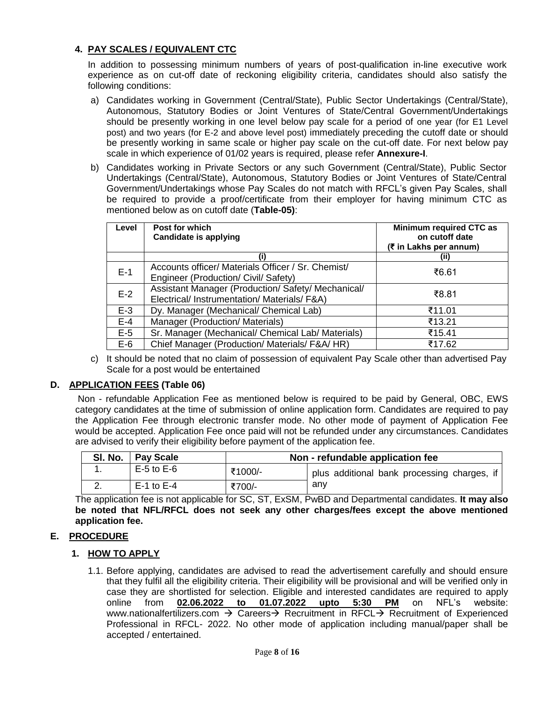## **4. PAY SCALES / EQUIVALENT CTC**

In addition to possessing minimum numbers of years of post-qualification in-line executive work experience as on cut-off date of reckoning eligibility criteria, candidates should also satisfy the following conditions:

- a) Candidates working in Government (Central/State), Public Sector Undertakings (Central/State), Autonomous, Statutory Bodies or Joint Ventures of State/Central Government/Undertakings should be presently working in one level below pay scale for a period of one year (for E1 Level post) and two years (for E-2 and above level post) immediately preceding the cutoff date or should be presently working in same scale or higher pay scale on the cut-off date. For next below pay scale in which experience of 01/02 years is required, please refer **Annexure-I**.
- b) Candidates working in Private Sectors or any such Government (Central/State), Public Sector Undertakings (Central/State), Autonomous, Statutory Bodies or Joint Ventures of State/Central Government/Undertakings whose Pay Scales do not match with RFCL"s given Pay Scales, shall be required to provide a proof/certificate from their employer for having minimum CTC as mentioned below as on cutoff date (**Table-05)**:

| Level | Post for which<br><b>Candidate is applying</b>                                                   | Minimum required CTC as<br>on cutoff date<br>(₹ in Lakhs per annum) |
|-------|--------------------------------------------------------------------------------------------------|---------------------------------------------------------------------|
|       | (i)                                                                                              | (ii)                                                                |
| $E-1$ | Accounts officer/ Materials Officer / Sr. Chemist/<br>Engineer (Production/ Civil/ Safety)       | ₹6.61                                                               |
| $E-2$ | Assistant Manager (Production/Safety/Mechanical/<br>Electrical/ Instrumentation/ Materials/ F&A) | ₹8.81                                                               |
| $E-3$ | Dy. Manager (Mechanical/ Chemical Lab)                                                           | ₹11.01                                                              |
| $E-4$ | Manager (Production/ Materials)                                                                  | ₹13.21                                                              |
| $E-5$ | Sr. Manager (Mechanical/ Chemical Lab/ Materials)                                                | ₹15.41                                                              |
| $E-6$ | Chief Manager (Production/ Materials/ F&A/ HR)                                                   | ₹17.62                                                              |

c) It should be noted that no claim of possession of equivalent Pay Scale other than advertised Pay Scale for a post would be entertained

### **D. APPLICATION FEES (Table 06)**

Non - refundable Application Fee as mentioned below is required to be paid by General, OBC, EWS category candidates at the time of submission of online application form. Candidates are required to pay the Application Fee through electronic transfer mode. No other mode of payment of Application Fee would be accepted. Application Fee once paid will not be refunded under any circumstances. Candidates are advised to verify their eligibility before payment of the application fee.

| SI. No.   Pay Scale | Non - refundable application fee |                                             |  |  |  |  |  |  |
|---------------------|----------------------------------|---------------------------------------------|--|--|--|--|--|--|
| $E-5$ to $E-6$      | ₹1000/-                          | plus additional bank processing charges, if |  |  |  |  |  |  |
| $E-1$ to $E-4$      | ₹700/-                           | anv                                         |  |  |  |  |  |  |

The application fee is not applicable for SC, ST, ExSM, PwBD and Departmental candidates. **It may also be noted that NFL/RFCL does not seek any other charges/fees except the above mentioned application fee.**

# **E. PROCEDURE**

- **1. HOW TO APPLY**
	- 1.1. Before applying, candidates are advised to read the advertisement carefully and should ensure that they fulfil all the eligibility criteria. Their eligibility will be provisional and will be verified only in case they are shortlisted for selection. Eligible and interested candidates are required to apply online from **02.06.2022 to 01.07.2022 upto 5:30 PM** on NFL"s website: www.nationalfertilizers.com  $\rightarrow$  Careers $\rightarrow$  Recruitment in RFCL $\rightarrow$  Recruitment of Experienced Professional in RFCL- 2022. No other mode of application including manual/paper shall be accepted / entertained.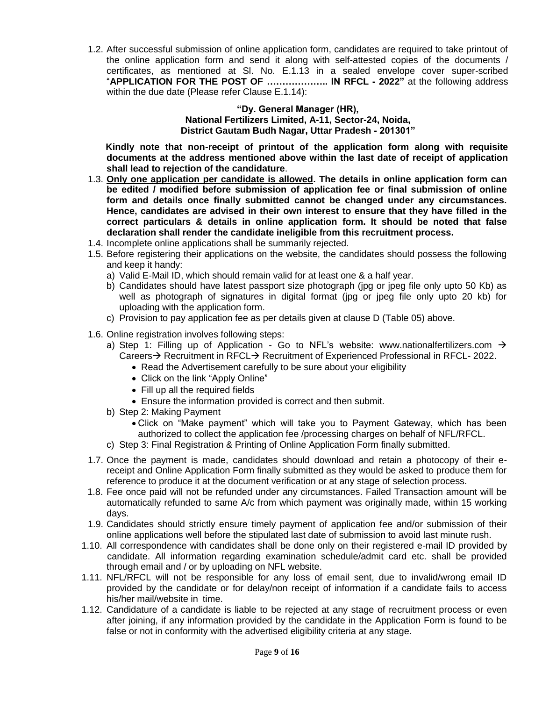1.2. After successful submission of online application form, candidates are required to take printout of the online application form and send it along with self-attested copies of the documents / certificates, as mentioned at Sl. No. E.1.13 in a sealed envelope cover super-scribed "**APPLICATION FOR THE POST OF ……………….. IN RFCL - 2022"** at the following address within the due date (Please refer Clause E.1.14):

#### **"Dy. General Manager (HR), National Fertilizers Limited, A-11, Sector-24, Noida, District Gautam Budh Nagar, Uttar Pradesh - 201301"**

 **Kindly note that non-receipt of printout of the application form along with requisite documents at the address mentioned above within the last date of receipt of application shall lead to rejection of the candidature**.

- 1.3. **Only one application per candidate is allowed. The details in online application form can be edited / modified before submission of application fee or final submission of online form and details once finally submitted cannot be changed under any circumstances. Hence, candidates are advised in their own interest to ensure that they have filled in the correct particulars & details in online application form. It should be noted that false declaration shall render the candidate ineligible from this recruitment process.**
- 1.4. Incomplete online applications shall be summarily rejected.
- 1.5. Before registering their applications on the website, the candidates should possess the following and keep it handy:
	- a) Valid E-Mail ID, which should remain valid for at least one & a half year.
	- b) Candidates should have latest passport size photograph (jpg or jpeg file only upto 50 Kb) as well as photograph of signatures in digital format (jpg or jpeg file only upto 20 kb) for uploading with the application form.
	- c) Provision to pay application fee as per details given at clause D (Table 05) above.
- 1.6. Online registration involves following steps:
	- a) Step 1: Filling up of Application Go to NFL's website: www.nationalfertilizers.com  $\rightarrow$ Careers  $\rightarrow$  Recruitment in RFCL $\rightarrow$  Recruitment of Experienced Professional in RFCL- 2022.
		- Read the Advertisement carefully to be sure about your eligibility
		- Click on the link "Apply Online"
		- Fill up all the required fields
		- Ensure the information provided is correct and then submit.
	- b) Step 2: Making Payment
		- Click on "Make payment" which will take you to Payment Gateway, which has been authorized to collect the application fee /processing charges on behalf of NFL/RFCL.
	- c) Step 3: Final Registration & Printing of Online Application Form finally submitted.
- 1.7. Once the payment is made, candidates should download and retain a photocopy of their ereceipt and Online Application Form finally submitted as they would be asked to produce them for reference to produce it at the document verification or at any stage of selection process.
- 1.8. Fee once paid will not be refunded under any circumstances. Failed Transaction amount will be automatically refunded to same A/c from which payment was originally made, within 15 working days.
- 1.9. Candidates should strictly ensure timely payment of application fee and/or submission of their online applications well before the stipulated last date of submission to avoid last minute rush.
- 1.10. All correspondence with candidates shall be done only on their registered e-mail ID provided by candidate. All information regarding examination schedule/admit card etc. shall be provided through email and / or by uploading on NFL website.
- 1.11. NFL/RFCL will not be responsible for any loss of email sent, due to invalid/wrong email ID provided by the candidate or for delay/non receipt of information if a candidate fails to access his/her mail/website in time.
- 1.12. Candidature of a candidate is liable to be rejected at any stage of recruitment process or even after joining, if any information provided by the candidate in the Application Form is found to be false or not in conformity with the advertised eligibility criteria at any stage.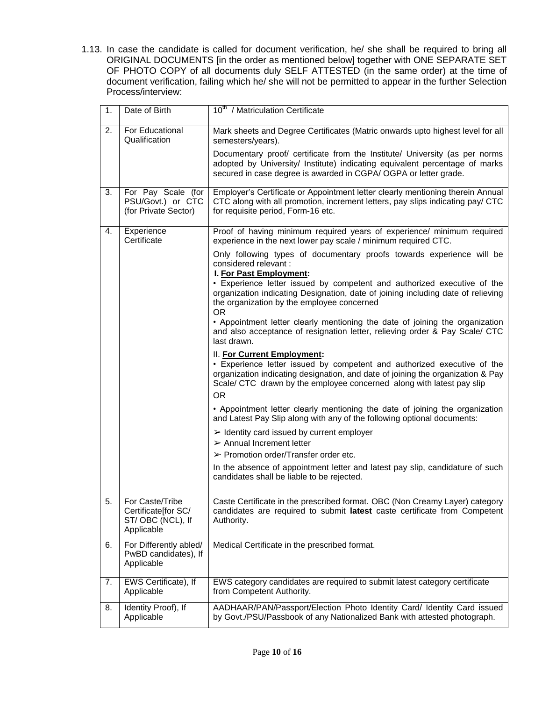1.13. In case the candidate is called for document verification, he/ she shall be required to bring all ORIGINAL DOCUMENTS [in the order as mentioned below] together with ONE SEPARATE SET OF PHOTO COPY of all documents duly SELF ATTESTED (in the same order) at the time of document verification, failing which he/ she will not be permitted to appear in the further Selection Process/interview:

| 1. | Date of Birth                                                             | 10 <sup>th</sup> / Matriculation Certificate                                                                                                                                                                                                                       |
|----|---------------------------------------------------------------------------|--------------------------------------------------------------------------------------------------------------------------------------------------------------------------------------------------------------------------------------------------------------------|
| 2. | For Educational<br>Qualification                                          | Mark sheets and Degree Certificates (Matric onwards upto highest level for all<br>semesters/years).                                                                                                                                                                |
|    |                                                                           | Documentary proof/ certificate from the Institute/ University (as per norms<br>adopted by University/ Institute) indicating equivalent percentage of marks<br>secured in case degree is awarded in CGPA/OGPA or letter grade.                                      |
| 3. | For Pay Scale (for<br>PSU/Govt.) or CTC<br>(for Private Sector)           | Employer's Certificate or Appointment letter clearly mentioning therein Annual<br>CTC along with all promotion, increment letters, pay slips indicating pay/ CTC<br>for requisite period, Form-16 etc.                                                             |
| 4. | Experience<br>Certificate                                                 | Proof of having minimum required years of experience/ minimum required<br>experience in the next lower pay scale / minimum required CTC.                                                                                                                           |
|    |                                                                           | Only following types of documentary proofs towards experience will be<br>considered relevant :<br>I. For Past Employment:                                                                                                                                          |
|    |                                                                           | • Experience letter issued by competent and authorized executive of the<br>organization indicating Designation, date of joining including date of relieving<br>the organization by the employee concerned<br><b>OR</b>                                             |
|    |                                                                           | • Appointment letter clearly mentioning the date of joining the organization<br>and also acceptance of resignation letter, relieving order & Pay Scale/ CTC<br>last drawn.                                                                                         |
|    |                                                                           | II. For Current Employment:<br>• Experience letter issued by competent and authorized executive of the<br>organization indicating designation, and date of joining the organization & Pay<br>Scale/ CTC drawn by the employee concerned along with latest pay slip |
|    |                                                                           | <b>OR</b><br>• Appointment letter clearly mentioning the date of joining the organization<br>and Latest Pay Slip along with any of the following optional documents:                                                                                               |
|    |                                                                           | $\triangleright$ Identity card issued by current employer<br>$\triangleright$ Annual Increment letter                                                                                                                                                              |
|    |                                                                           | $\triangleright$ Promotion order/Transfer order etc.                                                                                                                                                                                                               |
|    |                                                                           | In the absence of appointment letter and latest pay slip, candidature of such<br>candidates shall be liable to be rejected.                                                                                                                                        |
| 5. | For Caste/Tribe<br>Certificate [for SC/<br>ST/OBC (NCL), If<br>Applicable | Caste Certificate in the prescribed format. OBC (Non Creamy Layer) category<br>candidates are required to submit latest caste certificate from Competent<br>Authority.                                                                                             |
| 6. | For Differently abled/<br>PwBD candidates), If<br>Applicable              | Medical Certificate in the prescribed format.                                                                                                                                                                                                                      |
| 7. | EWS Certificate), If<br>Applicable                                        | EWS category candidates are required to submit latest category certificate<br>from Competent Authority.                                                                                                                                                            |
| 8. | Identity Proof), If<br>Applicable                                         | AADHAAR/PAN/Passport/Election Photo Identity Card/ Identity Card issued<br>by Govt./PSU/Passbook of any Nationalized Bank with attested photograph.                                                                                                                |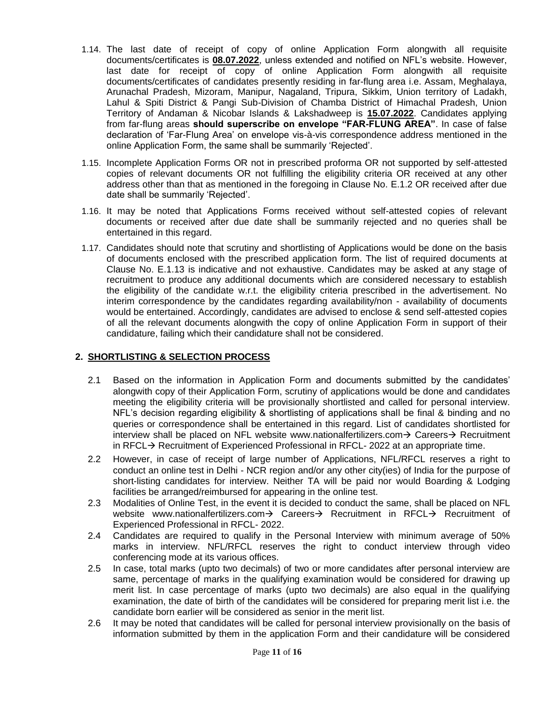- 1.14. The last date of receipt of copy of online Application Form alongwith all requisite documents/certificates is **08.07.2022**, unless extended and notified on NFL"s website. However, last date for receipt of copy of online Application Form alongwith all requisite documents/certificates of candidates presently residing in far-flung area i.e. Assam, Meghalaya, Arunachal Pradesh, Mizoram, Manipur, Nagaland, Tripura, Sikkim, Union territory of Ladakh, Lahul & Spiti District & Pangi Sub-Division of Chamba District of Himachal Pradesh, Union Territory of Andaman & Nicobar Islands & Lakshadweep is **15.07.2022**. Candidates applying from far-flung areas **should superscribe on envelope "FAR-FLUNG AREA"**. In case of false declaration of "Far-Flung Area" on envelope vis-à-vis correspondence address mentioned in the online Application Form, the same shall be summarily "Rejected".
- 1.15. Incomplete Application Forms OR not in prescribed proforma OR not supported by self-attested copies of relevant documents OR not fulfilling the eligibility criteria OR received at any other address other than that as mentioned in the foregoing in Clause No. E.1.2 OR received after due date shall be summarily "Rejected".
- 1.16. It may be noted that Applications Forms received without self-attested copies of relevant documents or received after due date shall be summarily rejected and no queries shall be entertained in this regard.
- 1.17. Candidates should note that scrutiny and shortlisting of Applications would be done on the basis of documents enclosed with the prescribed application form. The list of required documents at Clause No. E.1.13 is indicative and not exhaustive. Candidates may be asked at any stage of recruitment to produce any additional documents which are considered necessary to establish the eligibility of the candidate w.r.t. the eligibility criteria prescribed in the advertisement. No interim correspondence by the candidates regarding availability/non - availability of documents would be entertained. Accordingly, candidates are advised to enclose & send self-attested copies of all the relevant documents alongwith the copy of online Application Form in support of their candidature, failing which their candidature shall not be considered.

### **2. SHORTLISTING & SELECTION PROCESS**

- 2.1 Based on the information in Application Form and documents submitted by the candidates" alongwith copy of their Application Form, scrutiny of applications would be done and candidates meeting the eligibility criteria will be provisionally shortlisted and called for personal interview. NFL"s decision regarding eligibility & shortlisting of applications shall be final & binding and no queries or correspondence shall be entertained in this regard. List of candidates shortlisted for interview shall be placed on NFL website www.nationalfertilizers.com  $\rightarrow$  Careers  $\rightarrow$  Recruitment in RFCL $\rightarrow$  Recruitment of Experienced Professional in RFCL- 2022 at an appropriate time.
- 2.2 However, in case of receipt of large number of Applications, NFL/RFCL reserves a right to conduct an online test in Delhi - NCR region and/or any other city(ies) of India for the purpose of short-listing candidates for interview. Neither TA will be paid nor would Boarding & Lodging facilities be arranged/reimbursed for appearing in the online test.
- 2.3 Modalities of Online Test, in the event it is decided to conduct the same, shall be placed on NFL website www.nationalfertilizers.com $\rightarrow$  Careers $\rightarrow$  Recruitment in RFCL $\rightarrow$  Recruitment of Experienced Professional in RFCL- 2022.
- 2.4 Candidates are required to qualify in the Personal Interview with minimum average of 50% marks in interview. NFL/RFCL reserves the right to conduct interview through video conferencing mode at its various offices.
- 2.5 In case, total marks (upto two decimals) of two or more candidates after personal interview are same, percentage of marks in the qualifying examination would be considered for drawing up merit list. In case percentage of marks (upto two decimals) are also equal in the qualifying examination, the date of birth of the candidates will be considered for preparing merit list i.e. the candidate born earlier will be considered as senior in the merit list.
- 2.6 It may be noted that candidates will be called for personal interview provisionally on the basis of information submitted by them in the application Form and their candidature will be considered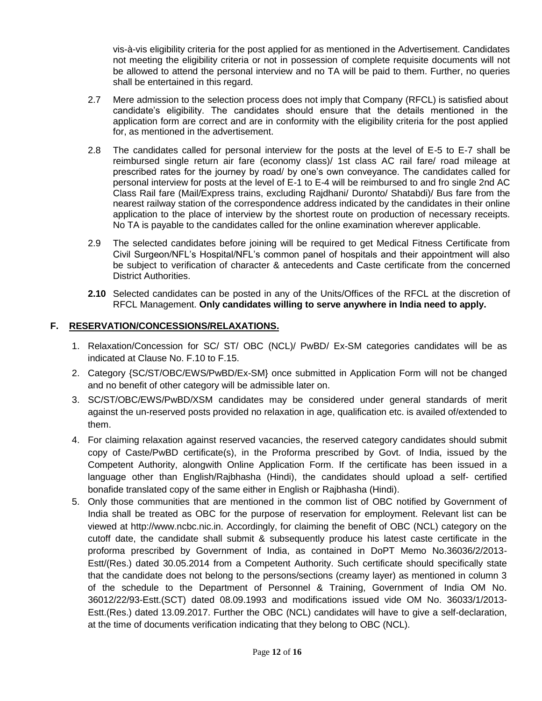vis-à-vis eligibility criteria for the post applied for as mentioned in the Advertisement. Candidates not meeting the eligibility criteria or not in possession of complete requisite documents will not be allowed to attend the personal interview and no TA will be paid to them. Further, no queries shall be entertained in this regard.

- 2.7 Mere admission to the selection process does not imply that Company (RFCL) is satisfied about candidate"s eligibility. The candidates should ensure that the details mentioned in the application form are correct and are in conformity with the eligibility criteria for the post applied for, as mentioned in the advertisement.
- 2.8 The candidates called for personal interview for the posts at the level of E-5 to E-7 shall be reimbursed single return air fare (economy class)/ 1st class AC rail fare/ road mileage at prescribed rates for the journey by road/ by one"s own conveyance. The candidates called for personal interview for posts at the level of E-1 to E-4 will be reimbursed to and fro single 2nd AC Class Rail fare (Mail/Express trains, excluding Rajdhani/ Duronto/ Shatabdi)/ Bus fare from the nearest railway station of the correspondence address indicated by the candidates in their online application to the place of interview by the shortest route on production of necessary receipts. No TA is payable to the candidates called for the online examination wherever applicable.
- 2.9 The selected candidates before joining will be required to get Medical Fitness Certificate from Civil Surgeon/NFL"s Hospital/NFL"s common panel of hospitals and their appointment will also be subject to verification of character & antecedents and Caste certificate from the concerned District Authorities.
- **2.10** Selected candidates can be posted in any of the Units/Offices of the RFCL at the discretion of RFCL Management. **Only candidates willing to serve anywhere in India need to apply.**

### **F. RESERVATION/CONCESSIONS/RELAXATIONS.**

- 1. Relaxation/Concession for SC/ ST/ OBC (NCL)/ PwBD/ Ex-SM categories candidates will be as indicated at Clause No. F.10 to F.15.
- 2. Category {SC/ST/OBC/EWS/PwBD/Ex-SM} once submitted in Application Form will not be changed and no benefit of other category will be admissible later on.
- 3. SC/ST/OBC/EWS/PwBD/XSM candidates may be considered under general standards of merit against the un-reserved posts provided no relaxation in age, qualification etc. is availed of/extended to them.
- 4. For claiming relaxation against reserved vacancies, the reserved category candidates should submit copy of Caste/PwBD certificate(s), in the Proforma prescribed by Govt. of India, issued by the Competent Authority, alongwith Online Application Form. If the certificate has been issued in a language other than English/Rajbhasha (Hindi), the candidates should upload a self- certified bonafide translated copy of the same either in English or Rajbhasha (Hindi).
- 5. Only those communities that are mentioned in the common list of OBC notified by Government of India shall be treated as OBC for the purpose of reservation for employment. Relevant list can be viewed at http://www.ncbc.nic.in. Accordingly, for claiming the benefit of OBC (NCL) category on the cutoff date, the candidate shall submit & subsequently produce his latest caste certificate in the proforma prescribed by Government of India, as contained in DoPT Memo No.36036/2/2013- Estt/(Res.) dated 30.05.2014 from a Competent Authority. Such certificate should specifically state that the candidate does not belong to the persons/sections (creamy layer) as mentioned in column 3 of the schedule to the Department of Personnel & Training, Government of India OM No. 36012/22/93-Estt.(SCT) dated 08.09.1993 and modifications issued vide OM No. 36033/1/2013- Estt.(Res.) dated 13.09.2017. Further the OBC (NCL) candidates will have to give a self-declaration, at the time of documents verification indicating that they belong to OBC (NCL).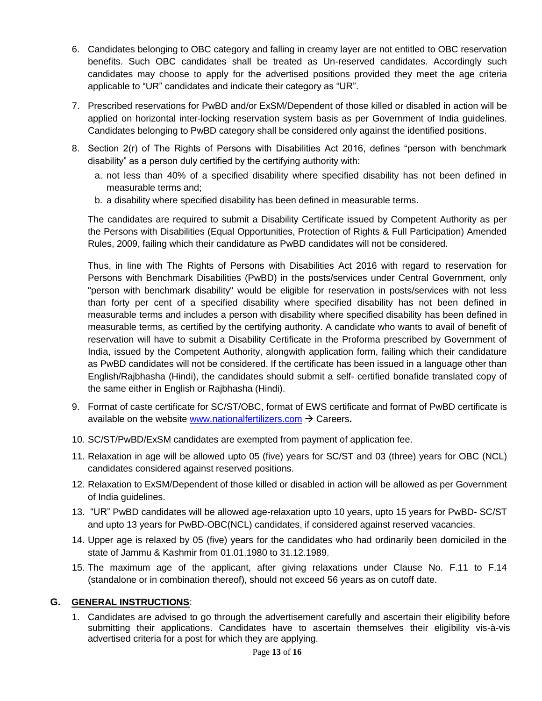- 6. Candidates belonging to OBC category and falling in creamy layer are not entitled to OBC reservation benefits. Such OBC candidates shall be treated as Un-reserved candidates. Accordingly such candidates may choose to apply for the advertised positions provided they meet the age criteria applicable to "UR" candidates and indicate their category as "UR".
- 7. Prescribed reservations for PwBD and/or ExSM/Dependent of those killed or disabled in action will be applied on horizontal inter-locking reservation system basis as per Government of India guidelines. Candidates belonging to PwBD category shall be considered only against the identified positions.
- 8. Section 2(r) of The Rights of Persons with Disabilities Act 2016, defines "person with benchmark disability" as a person duly certified by the certifying authority with:
	- a. not less than 40% of a specified disability where specified disability has not been defined in measurable terms and;
	- b. a disability where specified disability has been defined in measurable terms.

The candidates are required to submit a Disability Certificate issued by Competent Authority as per the Persons with Disabilities (Equal Opportunities, Protection of Rights & Full Participation) Amended Rules, 2009, failing which their candidature as PwBD candidates will not be considered.

Thus, in line with The Rights of Persons with Disabilities Act 2016 with regard to reservation for Persons with Benchmark Disabilities (PwBD) in the posts/services under Central Government, only "person with benchmark disability" would be eligible for reservation in posts/services with not less than forty per cent of a specified disability where specified disability has not been defined in measurable terms and includes a person with disability where specified disability has been defined in measurable terms, as certified by the certifying authority. A candidate who wants to avail of benefit of reservation will have to submit a Disability Certificate in the Proforma prescribed by Government of India, issued by the Competent Authority, alongwith application form, failing which their candidature as PwBD candidates will not be considered. If the certificate has been issued in a language other than English/Rajbhasha (Hindi), the candidates should submit a self- certified bonafide translated copy of the same either in English or Rajbhasha (Hindi).

- 9. Format of caste certificate for SC/ST/OBC, format of EWS certificate and format of PwBD certificate is available on the website [www.nationalfertilizers.com](http://www.nationalfertilizers.com/)  $\rightarrow$  Careers.
- 10. SC/ST/PwBD/ExSM candidates are exempted from payment of application fee.
- 11. Relaxation in age will be allowed upto 05 (five) years for SC/ST and 03 (three) years for OBC (NCL) candidates considered against reserved positions.
- 12. Relaxation to ExSM/Dependent of those killed or disabled in action will be allowed as per Government of India guidelines.
- 13. "UR" PwBD candidates will be allowed age-relaxation upto 10 years, upto 15 years for PwBD- SC/ST and upto 13 years for PwBD-OBC(NCL) candidates, if considered against reserved vacancies.
- 14. Upper age is relaxed by 05 (five) years for the candidates who had ordinarily been domiciled in the state of Jammu & Kashmir from 01.01.1980 to 31.12.1989.
- 15. The maximum age of the applicant, after giving relaxations under Clause No. F.11 to F.14 (standalone or in combination thereof), should not exceed 56 years as on cutoff date.

#### **G. GENERAL INSTRUCTIONS**:

1. Candidates are advised to go through the advertisement carefully and ascertain their eligibility before submitting their applications. Candidates have to ascertain themselves their eligibility vis-à-vis advertised criteria for a post for which they are applying.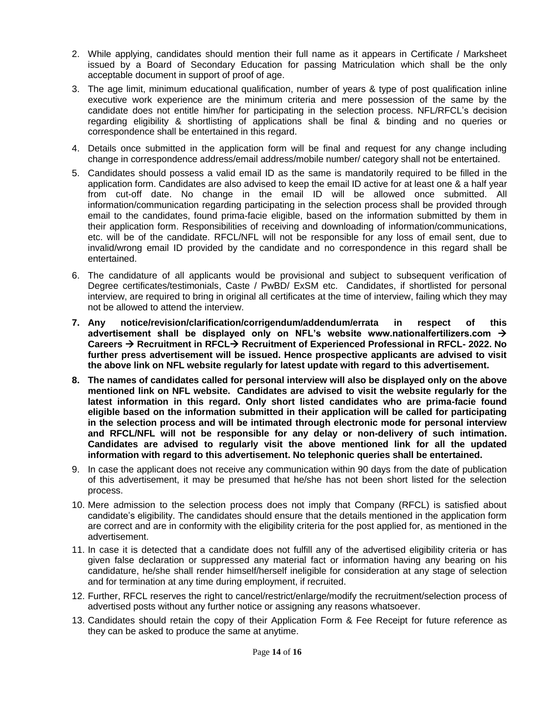- 2. While applying, candidates should mention their full name as it appears in Certificate / Marksheet issued by a Board of Secondary Education for passing Matriculation which shall be the only acceptable document in support of proof of age.
- 3. The age limit, minimum educational qualification, number of years & type of post qualification inline executive work experience are the minimum criteria and mere possession of the same by the candidate does not entitle him/her for participating in the selection process. NFL/RFCL"s decision regarding eligibility & shortlisting of applications shall be final & binding and no queries or correspondence shall be entertained in this regard.
- 4. Details once submitted in the application form will be final and request for any change including change in correspondence address/email address/mobile number/ category shall not be entertained.
- 5. Candidates should possess a valid email ID as the same is mandatorily required to be filled in the application form. Candidates are also advised to keep the email ID active for at least one & a half year from cut-off date. No change in the email ID will be allowed once submitted. All information/communication regarding participating in the selection process shall be provided through email to the candidates, found prima-facie eligible, based on the information submitted by them in their application form. Responsibilities of receiving and downloading of information/communications, etc. will be of the candidate. RFCL/NFL will not be responsible for any loss of email sent, due to invalid/wrong email ID provided by the candidate and no correspondence in this regard shall be entertained.
- 6. The candidature of all applicants would be provisional and subject to subsequent verification of Degree certificates/testimonials, Caste / PwBD/ ExSM etc. Candidates, if shortlisted for personal interview, are required to bring in original all certificates at the time of interview, failing which they may not be allowed to attend the interview.
- **7. Any notice/revision/clarification/corrigendum/addendum/errata in respect of this advertisement shall be displayed only on NFL's website www.nationalfertilizers.com Careers Recruitment in RFCL Recruitment of Experienced Professional in RFCL- 2022. No further press advertisement will be issued. Hence prospective applicants are advised to visit the above link on NFL website regularly for latest update with regard to this advertisement.**
- **8. The names of candidates called for personal interview will also be displayed only on the above mentioned link on NFL website. Candidates are advised to visit the website regularly for the latest information in this regard. Only short listed candidates who are prima-facie found eligible based on the information submitted in their application will be called for participating in the selection process and will be intimated through electronic mode for personal interview and RFCL/NFL will not be responsible for any delay or non-delivery of such intimation. Candidates are advised to regularly visit the above mentioned link for all the updated information with regard to this advertisement. No telephonic queries shall be entertained.**
- 9. In case the applicant does not receive any communication within 90 days from the date of publication of this advertisement, it may be presumed that he/she has not been short listed for the selection process.
- 10. Mere admission to the selection process does not imply that Company (RFCL) is satisfied about candidate"s eligibility. The candidates should ensure that the details mentioned in the application form are correct and are in conformity with the eligibility criteria for the post applied for, as mentioned in the advertisement.
- 11. In case it is detected that a candidate does not fulfill any of the advertised eligibility criteria or has given false declaration or suppressed any material fact or information having any bearing on his candidature, he/she shall render himself/herself ineligible for consideration at any stage of selection and for termination at any time during employment, if recruited.
- 12. Further, RFCL reserves the right to cancel/restrict/enlarge/modify the recruitment/selection process of advertised posts without any further notice or assigning any reasons whatsoever.
- 13. Candidates should retain the copy of their Application Form & Fee Receipt for future reference as they can be asked to produce the same at anytime.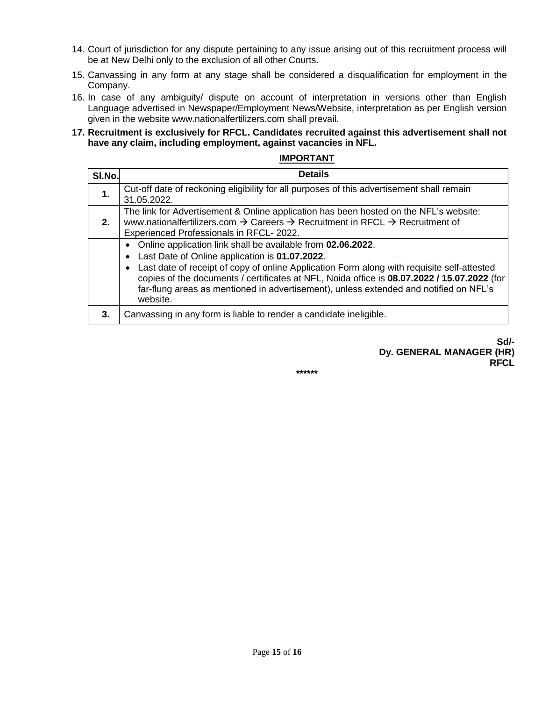- 14. Court of jurisdiction for any dispute pertaining to any issue arising out of this recruitment process will be at New Delhi only to the exclusion of all other Courts.
- 15. Canvassing in any form at any stage shall be considered a disqualification for employment in the Company.
- 16. In case of any ambiguity/ dispute on account of interpretation in versions other than English Language advertised in Newspaper/Employment News/Website, interpretation as per English version given in the website www.nationalfertilizers.com shall prevail.

### **17. Recruitment is exclusively for RFCL. Candidates recruited against this advertisement shall not have any claim, including employment, against vacancies in NFL.**

#### **IMPORTANT**

| SI.No. | <b>Details</b>                                                                                                                                                                                                                                                                                                                                                                                                  |
|--------|-----------------------------------------------------------------------------------------------------------------------------------------------------------------------------------------------------------------------------------------------------------------------------------------------------------------------------------------------------------------------------------------------------------------|
| 1.     | Cut-off date of reckoning eligibility for all purposes of this advertisement shall remain<br>31.05.2022.                                                                                                                                                                                                                                                                                                        |
| 2.     | The link for Advertisement & Online application has been hosted on the NFL's website:<br>www.nationalfertilizers.com $\rightarrow$ Careers $\rightarrow$ Recruitment in RFCL $\rightarrow$ Recruitment of<br>Experienced Professionals in RFCL-2022.                                                                                                                                                            |
|        | Online application link shall be available from 02.06.2022.<br>Last Date of Online application is 01.07.2022.<br>Last date of receipt of copy of online Application Form along with requisite self-attested<br>copies of the documents / certificates at NFL, Noida office is 08.07.2022 / 15.07.2022 (for<br>far-flung areas as mentioned in advertisement), unless extended and notified on NFL's<br>website. |
| 3.     | Canvassing in any form is liable to render a candidate ineligible.                                                                                                                                                                                                                                                                                                                                              |

#### **Sd/- Dy. GENERAL MANAGER (HR) RFCL**

#### **\*\*\*\*\*\***